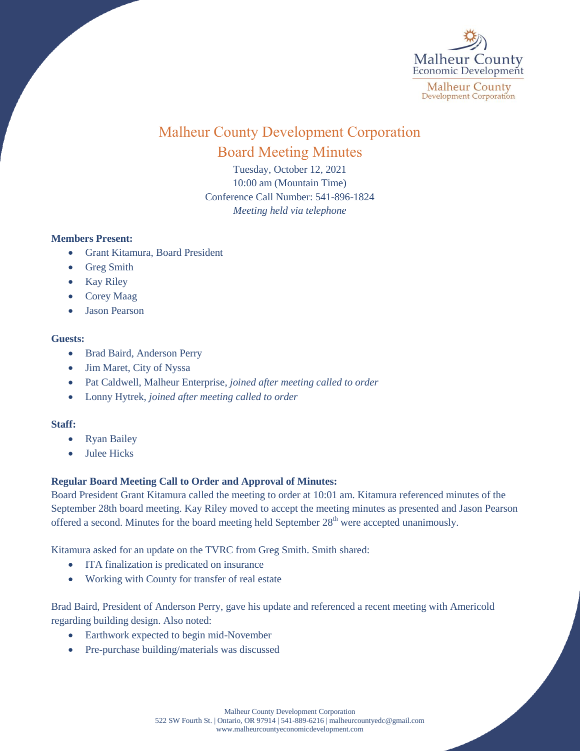

# Malheur County Development Corporation Board Meeting Minutes

Tuesday, October 12, 2021 10:00 am (Mountain Time) Conference Call Number: 541-896-1824 *Meeting held via telephone*

# **Members Present:**

- Grant Kitamura, Board President
- Greg Smith
- Kay Riley
- Corey Maag
- Jason Pearson

### **Guests:**

- Brad Baird, Anderson Perry
- Jim Maret, City of Nyssa
- Pat Caldwell, Malheur Enterprise, *joined after meeting called to order*
- Lonny Hytrek, *joined after meeting called to order*

# **Staff:**

- Ryan Bailey
- Julee Hicks

# **Regular Board Meeting Call to Order and Approval of Minutes:**

Board President Grant Kitamura called the meeting to order at 10:01 am. Kitamura referenced minutes of the September 28th board meeting. Kay Riley moved to accept the meeting minutes as presented and Jason Pearson offered a second. Minutes for the board meeting held September  $28<sup>th</sup>$  were accepted unanimously.

Kitamura asked for an update on the TVRC from Greg Smith. Smith shared:

- ITA finalization is predicated on insurance
- Working with County for transfer of real estate

Brad Baird, President of Anderson Perry, gave his update and referenced a recent meeting with Americold regarding building design. Also noted:

- Earthwork expected to begin mid-November
- Pre-purchase building/materials was discussed

Malheur County Development Corporation 522 SW Fourth St. | Ontario, OR 97914 | 541-889-6216 [| malheurcountyedc@gmail.com](mailto:malheurcountyedc@gmail.com) [www.malheurcountyeconomicdevelopment.com](http://www.malheurcountyeconomicdevelopment.com/)